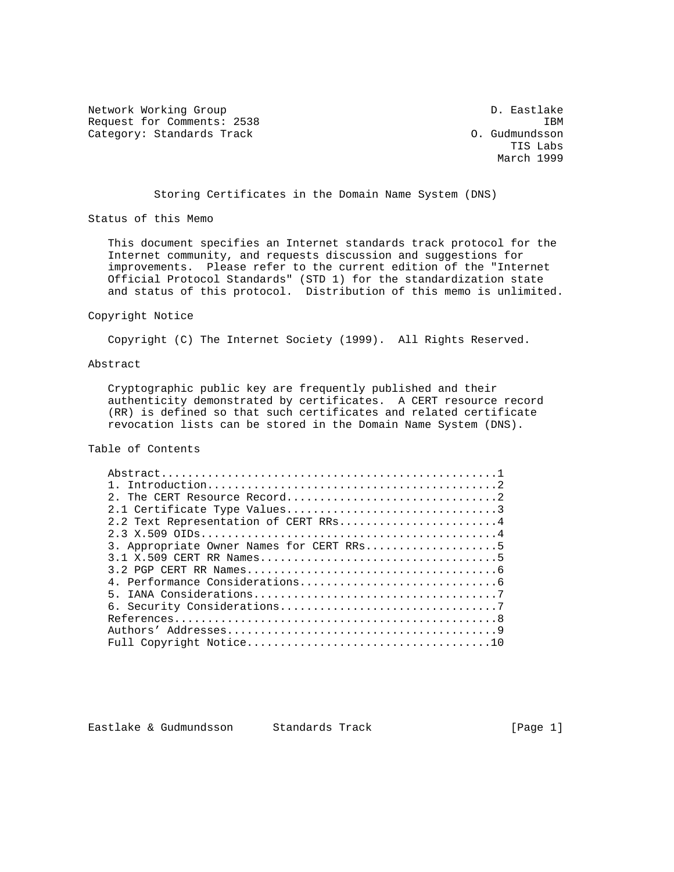Network Working Group D. Eastlake Request for Comments: 2538 IBM<br>Category: Standards Track Category: Standards Track Category: Standards Track

 TIS Labs March 1999

Storing Certificates in the Domain Name System (DNS)

Status of this Memo

 This document specifies an Internet standards track protocol for the Internet community, and requests discussion and suggestions for improvements. Please refer to the current edition of the "Internet Official Protocol Standards" (STD 1) for the standardization state and status of this protocol. Distribution of this memo is unlimited.

#### Copyright Notice

Copyright (C) The Internet Society (1999). All Rights Reserved.

#### Abstract

 Cryptographic public key are frequently published and their authenticity demonstrated by certificates. A CERT resource record (RR) is defined so that such certificates and related certificate revocation lists can be stored in the Domain Name System (DNS).

# Table of Contents

| 2.2 Text Representation of CERT RRs4<br>3. Appropriate Owner Names for CERT RRs5 |  |  |
|----------------------------------------------------------------------------------|--|--|
|                                                                                  |  |  |
|                                                                                  |  |  |
|                                                                                  |  |  |
|                                                                                  |  |  |
|                                                                                  |  |  |
|                                                                                  |  |  |
|                                                                                  |  |  |
|                                                                                  |  |  |
|                                                                                  |  |  |
|                                                                                  |  |  |
|                                                                                  |  |  |
|                                                                                  |  |  |
|                                                                                  |  |  |
|                                                                                  |  |  |

Eastlake & Gudmundsson Standards Track (Page 1)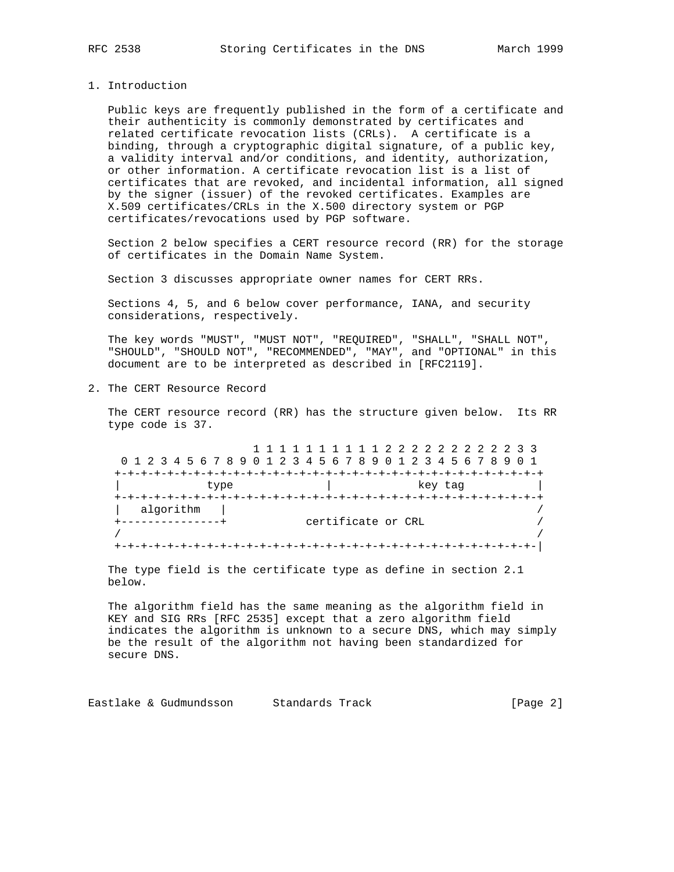#### 1. Introduction

 Public keys are frequently published in the form of a certificate and their authenticity is commonly demonstrated by certificates and related certificate revocation lists (CRLs). A certificate is a binding, through a cryptographic digital signature, of a public key, a validity interval and/or conditions, and identity, authorization, or other information. A certificate revocation list is a list of certificates that are revoked, and incidental information, all signed by the signer (issuer) of the revoked certificates. Examples are X.509 certificates/CRLs in the X.500 directory system or PGP certificates/revocations used by PGP software.

 Section 2 below specifies a CERT resource record (RR) for the storage of certificates in the Domain Name System.

Section 3 discusses appropriate owner names for CERT RRs.

 Sections 4, 5, and 6 below cover performance, IANA, and security considerations, respectively.

 The key words "MUST", "MUST NOT", "REQUIRED", "SHALL", "SHALL NOT", "SHOULD", "SHOULD NOT", "RECOMMENDED", "MAY", and "OPTIONAL" in this document are to be interpreted as described in [RFC2119].

2. The CERT Resource Record

 The CERT resource record (RR) has the structure given below. Its RR type code is 37.

 1 1 1 1 1 1 1 1 1 1 2 2 2 2 2 2 2 2 2 2 3 3 0 1 2 3 4 5 6 7 8 9 0 1 2 3 4 5 6 7 8 9 0 1 2 3 4 5 6 7 8 9 0 1 +-+-+-+-+-+-+-+-+-+-+-+-+-+-+-+-+-+-+-+-+-+-+-+-+-+-+-+-+-+-+-+-+ type  $\qquad \qquad \vert$  key tag  $\qquad$  +-+-+-+-+-+-+-+-+-+-+-+-+-+-+-+-+-+-+-+-+-+-+-+-+-+-+-+-+-+-+-+-+ | algorithm | / +---------------+ certificate or CRL / / / +-+-+-+-+-+-+-+-+-+-+-+-+-+-+-+-+-+-+-+-+-+-+-+-+-+-+-+-+-+-+-+-|

 The type field is the certificate type as define in section 2.1 below.

 The algorithm field has the same meaning as the algorithm field in KEY and SIG RRs [RFC 2535] except that a zero algorithm field indicates the algorithm is unknown to a secure DNS, which may simply be the result of the algorithm not having been standardized for secure DNS.

Eastlake & Gudmundsson Standards Track (Page 2)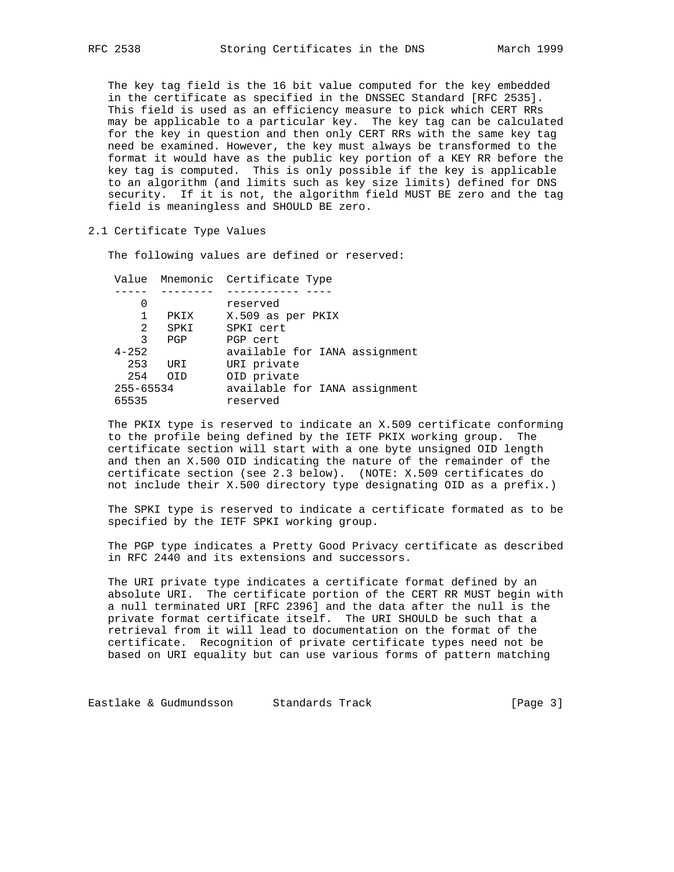The key tag field is the 16 bit value computed for the key embedded in the certificate as specified in the DNSSEC Standard [RFC 2535]. This field is used as an efficiency measure to pick which CERT RRs may be applicable to a particular key. The key tag can be calculated for the key in question and then only CERT RRs with the same key tag need be examined. However, the key must always be transformed to the format it would have as the public key portion of a KEY RR before the key tag is computed. This is only possible if the key is applicable to an algorithm (and limits such as key size limits) defined for DNS security. If it is not, the algorithm field MUST BE zero and the tag field is meaningless and SHOULD BE zero.

#### 2.1 Certificate Type Values

The following values are defined or reserved:

|           |      | Value Mnemonic Certificate Type |
|-----------|------|---------------------------------|
|           |      |                                 |
| O         |      | reserved                        |
|           | PKIX | X.509 as per PKIX               |
| 2         | SPKI | SPKI cert                       |
| 3         | PGP  | PGP cert                        |
| $4 - 252$ |      | available for IANA assignment   |
| 253       | URI  | URI private                     |
| 254       | OTD  | OID private                     |
| 255-65534 |      | available for IANA assignment   |
| 65535     |      | reserved                        |
|           |      |                                 |

 The PKIX type is reserved to indicate an X.509 certificate conforming to the profile being defined by the IETF PKIX working group. The certificate section will start with a one byte unsigned OID length and then an X.500 OID indicating the nature of the remainder of the certificate section (see 2.3 below). (NOTE: X.509 certificates do not include their X.500 directory type designating OID as a prefix.)

 The SPKI type is reserved to indicate a certificate formated as to be specified by the IETF SPKI working group.

 The PGP type indicates a Pretty Good Privacy certificate as described in RFC 2440 and its extensions and successors.

 The URI private type indicates a certificate format defined by an absolute URI. The certificate portion of the CERT RR MUST begin with a null terminated URI [RFC 2396] and the data after the null is the private format certificate itself. The URI SHOULD be such that a retrieval from it will lead to documentation on the format of the certificate. Recognition of private certificate types need not be based on URI equality but can use various forms of pattern matching

Eastlake & Gudmundsson Standards Track (Page 3)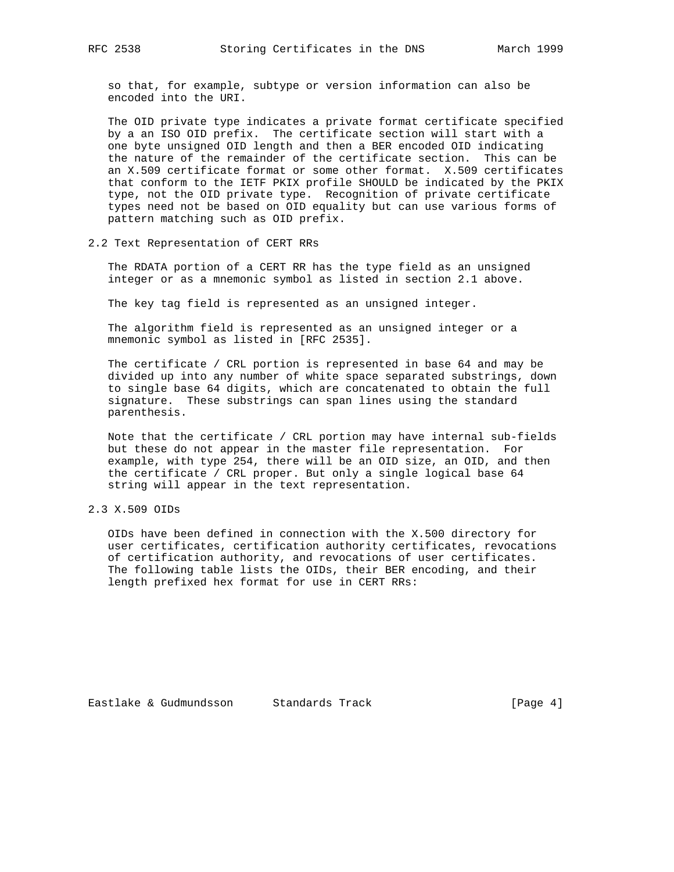so that, for example, subtype or version information can also be encoded into the URI.

 The OID private type indicates a private format certificate specified by a an ISO OID prefix. The certificate section will start with a one byte unsigned OID length and then a BER encoded OID indicating the nature of the remainder of the certificate section. This can be an X.509 certificate format or some other format. X.509 certificates that conform to the IETF PKIX profile SHOULD be indicated by the PKIX type, not the OID private type. Recognition of private certificate types need not be based on OID equality but can use various forms of pattern matching such as OID prefix.

2.2 Text Representation of CERT RRs

 The RDATA portion of a CERT RR has the type field as an unsigned integer or as a mnemonic symbol as listed in section 2.1 above.

The key tag field is represented as an unsigned integer.

 The algorithm field is represented as an unsigned integer or a mnemonic symbol as listed in [RFC 2535].

 The certificate / CRL portion is represented in base 64 and may be divided up into any number of white space separated substrings, down to single base 64 digits, which are concatenated to obtain the full signature. These substrings can span lines using the standard parenthesis.

 Note that the certificate / CRL portion may have internal sub-fields but these do not appear in the master file representation. For example, with type 254, there will be an OID size, an OID, and then the certificate / CRL proper. But only a single logical base 64 string will appear in the text representation.

## 2.3 X.509 OIDs

 OIDs have been defined in connection with the X.500 directory for user certificates, certification authority certificates, revocations of certification authority, and revocations of user certificates. The following table lists the OIDs, their BER encoding, and their length prefixed hex format for use in CERT RRs: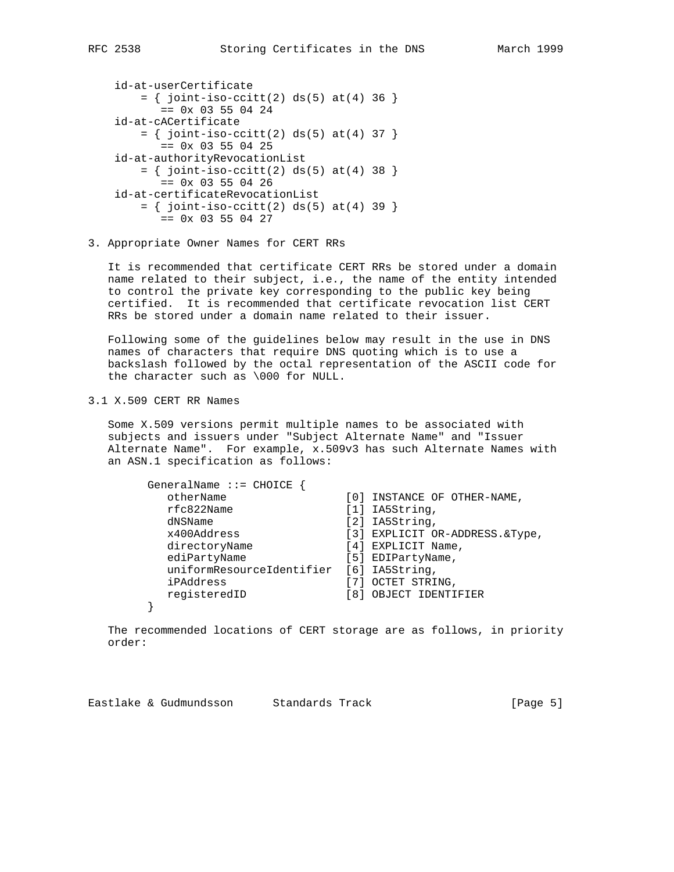```
 id-at-userCertificate
= \{ joint-iso-ccitt(2) ds(5) at(4) 36 \}== 0x 03 55 04 24 id-at-cACertificate
= \{ joint-iso-ccitt(2) ds(5) at(4) 37 \}== 0x 03 55 04 25 id-at-authorityRevocationList
= \{ joint-iso-ccitt(2) ds(5) at(4) 38 \}== 0x 03 55 04 26 id-at-certificateRevocationList
= \{ joint-iso-ccitt(2) ds(5) at(4) 39 \}== 0x 03 55 04 27
```
3. Appropriate Owner Names for CERT RRs

 It is recommended that certificate CERT RRs be stored under a domain name related to their subject, i.e., the name of the entity intended to control the private key corresponding to the public key being certified. It is recommended that certificate revocation list CERT RRs be stored under a domain name related to their issuer.

 Following some of the guidelines below may result in the use in DNS names of characters that require DNS quoting which is to use a backslash followed by the octal representation of the ASCII code for the character such as \000 for NULL.

3.1 X.509 CERT RR Names

 Some X.509 versions permit multiple names to be associated with subjects and issuers under "Subject Alternate Name" and "Issuer Alternate Name". For example, x.509v3 has such Alternate Names with an ASN.1 specification as follows:

| $GeneralName :: = CHOICE$ |       |                                  |
|---------------------------|-------|----------------------------------|
| otherName                 |       | [0] INSTANCE OF OTHER-NAME,      |
| rfc822Name                |       | $[1]$ IA5String,                 |
| dNSName                   |       | $[2]$ IA5String,                 |
| x400Address               |       | [3] EXPLICIT OR-ADDRESS. & Type, |
| directoryName             |       | [4] EXPLICIT Name,               |
| ediPartyName              |       | [5] EDIPartyName,                |
| uniformResourceIdentifier |       | $[6]$ IA5String,                 |
| iPAddress                 |       | [7] OCTET STRING,                |
| registeredID              | [ 8 ] | OBJECT IDENTIFIER                |
|                           |       |                                  |

 The recommended locations of CERT storage are as follows, in priority order:

Eastlake & Gudmundsson Standards Track [Page 5]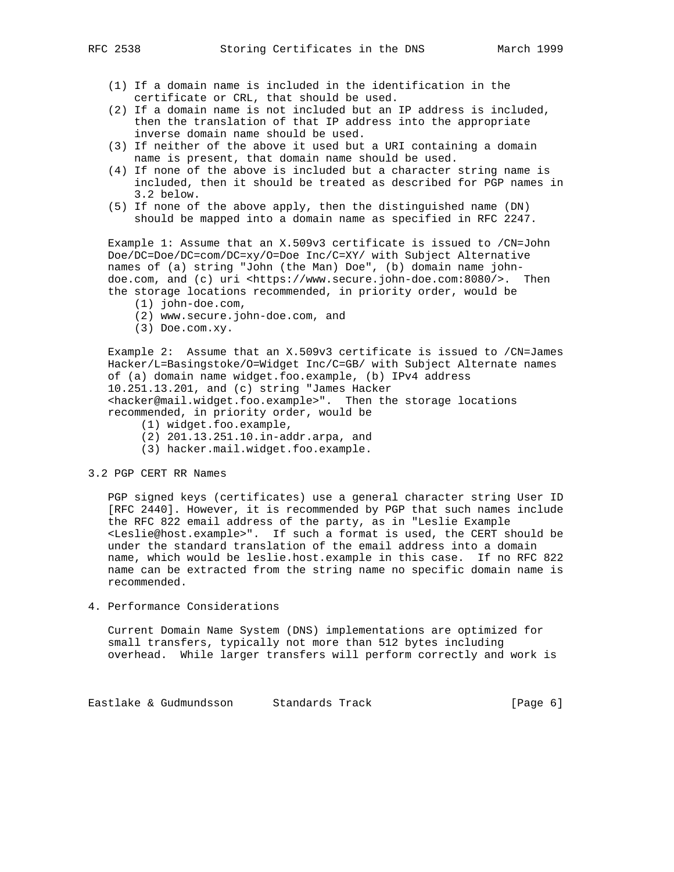- (1) If a domain name is included in the identification in the certificate or CRL, that should be used.
- (2) If a domain name is not included but an IP address is included, then the translation of that IP address into the appropriate inverse domain name should be used.
- (3) If neither of the above it used but a URI containing a domain name is present, that domain name should be used.
- (4) If none of the above is included but a character string name is included, then it should be treated as described for PGP names in 3.2 below.
- (5) If none of the above apply, then the distinguished name (DN) should be mapped into a domain name as specified in RFC 2247.

 Example 1: Assume that an X.509v3 certificate is issued to /CN=John Doe/DC=Doe/DC=com/DC=xy/O=Doe Inc/C=XY/ with Subject Alternative names of (a) string "John (the Man) Doe", (b) domain name john doe.com, and (c) uri <https://www.secure.john-doe.com:8080/>. Then the storage locations recommended, in priority order, would be

- (1) john-doe.com,
- (2) www.secure.john-doe.com, and
- (3) Doe.com.xy.

 Example 2: Assume that an X.509v3 certificate is issued to /CN=James Hacker/L=Basingstoke/O=Widget Inc/C=GB/ with Subject Alternate names of (a) domain name widget.foo.example, (b) IPv4 address 10.251.13.201, and (c) string "James Hacker <hacker@mail.widget.foo.example>". Then the storage locations recommended, in priority order, would be

- (1) widget.foo.example,
- (2) 201.13.251.10.in-addr.arpa, and
- (3) hacker.mail.widget.foo.example.

#### 3.2 PGP CERT RR Names

 PGP signed keys (certificates) use a general character string User ID [RFC 2440]. However, it is recommended by PGP that such names include the RFC 822 email address of the party, as in "Leslie Example <Leslie@host.example>". If such a format is used, the CERT should be under the standard translation of the email address into a domain name, which would be leslie.host.example in this case. If no RFC 822 name can be extracted from the string name no specific domain name is recommended.

4. Performance Considerations

 Current Domain Name System (DNS) implementations are optimized for small transfers, typically not more than 512 bytes including overhead. While larger transfers will perform correctly and work is

Eastlake & Gudmundsson Standards Track (Page 6)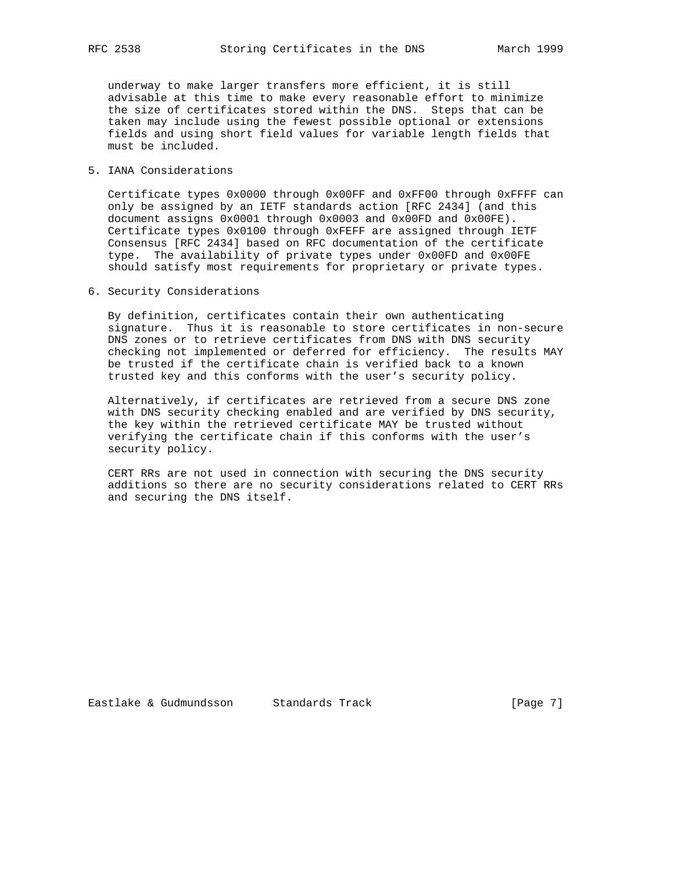underway to make larger transfers more efficient, it is still advisable at this time to make every reasonable effort to minimize the size of certificates stored within the DNS. Steps that can be taken may include using the fewest possible optional or extensions fields and using short field values for variable length fields that must be included.

## 5. IANA Considerations

 Certificate types 0x0000 through 0x00FF and 0xFF00 through 0xFFFF can only be assigned by an IETF standards action [RFC 2434] (and this document assigns 0x0001 through 0x0003 and 0x00FD and 0x00FE). Certificate types 0x0100 through 0xFEFF are assigned through IETF Consensus [RFC 2434] based on RFC documentation of the certificate type. The availability of private types under 0x00FD and 0x00FE should satisfy most requirements for proprietary or private types.

## 6. Security Considerations

 By definition, certificates contain their own authenticating signature. Thus it is reasonable to store certificates in non-secure DNS zones or to retrieve certificates from DNS with DNS security checking not implemented or deferred for efficiency. The results MAY be trusted if the certificate chain is verified back to a known trusted key and this conforms with the user's security policy.

 Alternatively, if certificates are retrieved from a secure DNS zone with DNS security checking enabled and are verified by DNS security, the key within the retrieved certificate MAY be trusted without verifying the certificate chain if this conforms with the user's security policy.

 CERT RRs are not used in connection with securing the DNS security additions so there are no security considerations related to CERT RRs and securing the DNS itself.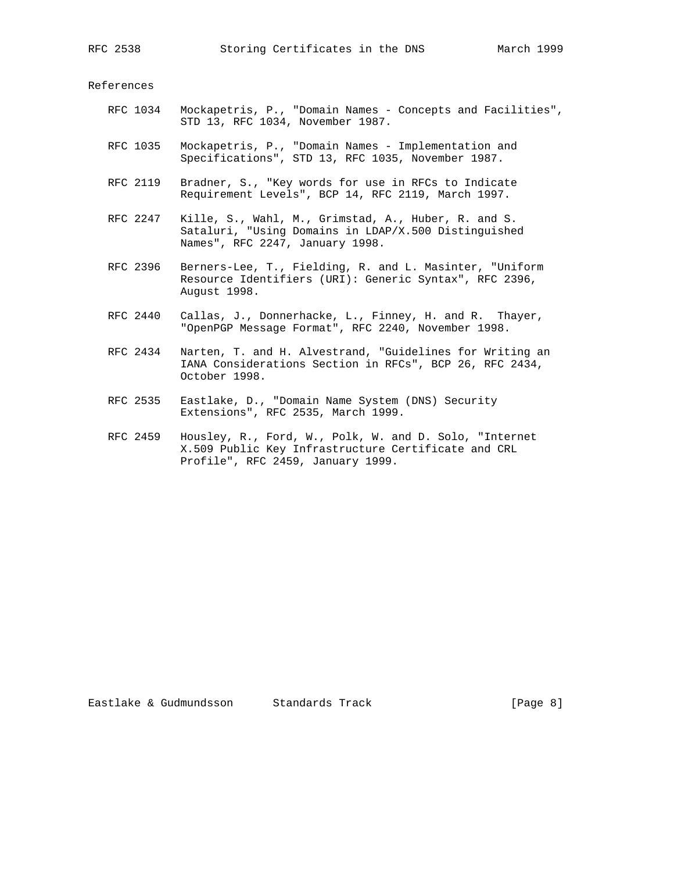References

- RFC 1034 Mockapetris, P., "Domain Names Concepts and Facilities", STD 13, RFC 1034, November 1987.
	- RFC 1035 Mockapetris, P., "Domain Names Implementation and Specifications", STD 13, RFC 1035, November 1987.
	- RFC 2119 Bradner, S., "Key words for use in RFCs to Indicate Requirement Levels", BCP 14, RFC 2119, March 1997.
	- RFC 2247 Kille, S., Wahl, M., Grimstad, A., Huber, R. and S. Sataluri, "Using Domains in LDAP/X.500 Distinguished Names", RFC 2247, January 1998.
	- RFC 2396 Berners-Lee, T., Fielding, R. and L. Masinter, "Uniform Resource Identifiers (URI): Generic Syntax", RFC 2396, August 1998.
	- RFC 2440 Callas, J., Donnerhacke, L., Finney, H. and R. Thayer, "OpenPGP Message Format", RFC 2240, November 1998.
	- RFC 2434 Narten, T. and H. Alvestrand, "Guidelines for Writing an IANA Considerations Section in RFCs", BCP 26, RFC 2434, October 1998.
	- RFC 2535 Eastlake, D., "Domain Name System (DNS) Security Extensions", RFC 2535, March 1999.
	- RFC 2459 Housley, R., Ford, W., Polk, W. and D. Solo, "Internet X.509 Public Key Infrastructure Certificate and CRL Profile", RFC 2459, January 1999.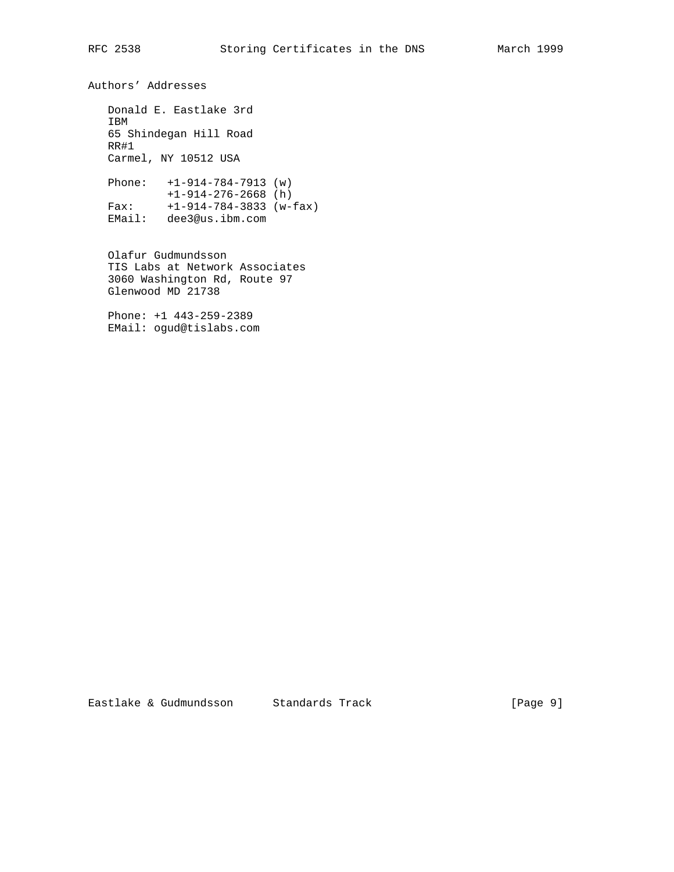Authors' Addresses

 Donald E. Eastlake 3rd IBM 65 Shindegan Hill Road RR#1 Carmel, NY 10512 USA

 Phone: +1-914-784-7913 (w) +1-914-276-2668 (h) Fax: +1-914-784-3833 (w-fax) EMail: dee3@us.ibm.com

 Olafur Gudmundsson TIS Labs at Network Associates 3060 Washington Rd, Route 97 Glenwood MD 21738

 Phone: +1 443-259-2389 EMail: ogud@tislabs.com